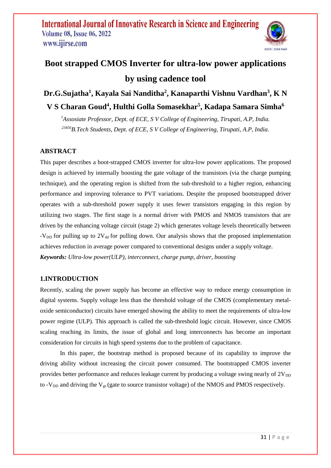

# **Boot strapped CMOS Inverter for ultra-low power applications by using cadence tool**

# **Dr.G.Sujatha<sup>1</sup> , Kayala Sai Nanditha<sup>2</sup> , Kanaparthi Vishnu Vardhan<sup>3</sup> , K N**

# **V S Charan Goud<sup>4</sup> , Hulthi Golla Somasekhar<sup>5</sup> , Kadapa Samara Simha<sup>6</sup>**

*<sup>1</sup>Assosiate Professor, Dept. of ECE, S V College of Engineering, Tirupati, A.P, India. <sup>23456</sup>B.Tech Students, Dept. of ECE, S V College of Engineering, Tirupati, A.P, India.*

## **ABSTRACT**

This paper describes a boot-strapped CMOS inverter for ultra-low power applications. The proposed design is achieved by internally boosting the gate voltage of the transistors (via the charge pumping technique), and the operating region is shifted from the sub-threshold to a higher region, enhancing performance and improving tolerance to PVT variations. Despite the proposed bootstrapped driver operates with a sub-threshold power supply it uses fewer transistors engaging in this region by utilizing two stages. The first stage is a normal driver with PMOS and NMOS transistors that are driven by the enhancing voltage circuit (stage 2) which generates voltage levels theoretically between -V<sub>DD</sub> for pulling up to  $2V_{dd}$  for pulling down. Our analysis shows that the proposed implementation achieves reduction in average power compared to conventional designs under a supply voltage. *Keywords: Ultra-low power(ULP), interconnect, charge pump, driver, boosting*

### **1.INTRODUCTION**

Recently, scaling the power supply has become an effective way to reduce energy consumption in digital systems. Supply voltage less than the threshold voltage of the CMOS (complementary metaloxide semiconductor) circuits have emerged showing the ability to meet the requirements of ultra-low power regime (ULP). This approach is called the sub-threshold logic circuit. However, since CMOS scaling reaching its limits, the issue of global and long interconnects has become an important consideration for circuits in high speed systems due to the problem of capacitance.

In this paper, the bootstrap method is proposed because of its capability to improve the driving ability without increasing the circuit power consumed. The bootstrapped CMOS inverter provides better performance and reduces leakage current by producing a voltage swing nearly of  $2V_{DD}$ to -V<sub>DD</sub> and driving the V<sub>gs</sub> (gate to source transistor voltage) of the NMOS and PMOS respectively.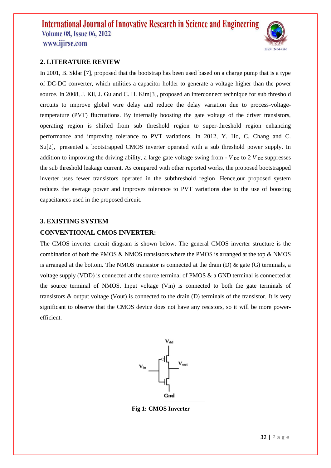

#### **2. LITERATURE REVIEW**

In 2001, B. Sklar [7], proposed that the bootstrap has been used based on a charge pump that is a type of DC-DC converter, which utilities a capacitor holder to generate a voltage higher than the power source. In 2008, J. Kil, J. Gu and C. H. Kim[3], proposed an interconnect technique for sub threshold circuits to improve global wire delay and reduce the delay variation due to process-voltagetemperature (PVT) fluctuations. By internally boosting the gate voltage of the driver transistors, operating region is shifted from sub threshold region to super-threshold region enhancing performance and improving tolerance to PVT variations. In 2012, Y. Ho, C. Chang and C. Su[2], presented a bootstrapped CMOS inverter operated with a sub threshold power supply. In addition to improving the driving ability, a large gate voltage swing from  $\sim$  *V*  $_{\text{DD}}$  to 2 *V*  $_{\text{DD}}$  suppresses the sub threshold leakage current. As compared with other reported works, the proposed bootstrapped inverter uses fewer transistors operated in the subthreshold region .Hence,our proposed system reduces the average power and improves tolerance to PVT variations due to the use of boosting capacitances used in the proposed circuit.

#### **3. EXISTING SYSTEM**

#### **CONVENTIONAL CMOS INVERTER:**

The CMOS inverter circuit diagram is shown below. The general CMOS inverter structure is the combination of both the PMOS  $\&$  NMOS transistors where the PMOS is arranged at the top  $\&$  NMOS is arranged at the bottom. The NMOS transistor is connected at the drain (D)  $\&$  gate (G) terminals, a voltage supply (VDD) is connected at the source terminal of PMOS & a GND terminal is connected at the source terminal of NMOS. Input voltage (Vin) is connected to both the gate terminals of transistors & output voltage (Vout) is connected to the drain (D) terminals of the transistor. It is very significant to observe that the CMOS device does not have any resistors, so it will be more powerefficient.



**Fig 1: CMOS Inverter**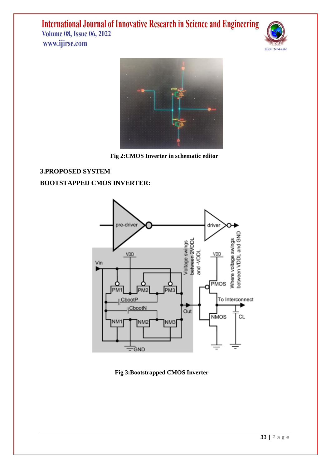



 **Fig 2:CMOS Inverter in schematic editor** 

**3.PROPOSED SYSTEM BOOTSTAPPED CMOS INVERTER:**



 **Fig 3:Bootstrapped CMOS Inverter**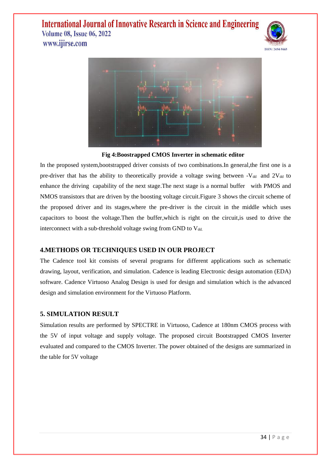



 **Fig 4:Boostrapped CMOS Inverter in schematic editor**

In the proposed system,bootstrapped driver consists of two combinations.In general,the first one is a pre-driver that has the ability to theoretically provide a voltage swing between  $-V_{dd}$  and  $2V_{dd}$  to enhance the driving capability of the next stage.The next stage is a normal bufferwith PMOS and NMOS transistors that are driven by the boosting voltage circuit.Figure 3 shows the circuit scheme of the proposed driver and its stages,where the pre-driver is the circuit in the middle which uses capacitors to boost the voltage.Then the buffer,which is right on the circuit,is used to drive the interconnect with a sub-threshold voltage swing from GND to  $V_{dd}$ .

### **4.METHODS OR TECHNIQUES USED IN OUR PROJECT**

The Cadence tool kit consists of several programs for different applications such as schematic drawing, layout, verification, and simulation. Cadence is leading Electronic design automation (EDA) software. Cadence Virtuoso Analog Design is used for design and simulation which is the advanced design and simulation environment for the Virtuoso Platform.

#### **5. SIMULATION RESULT**

Simulation results are performed by SPECTRE in Virtuoso, Cadence at 180nm CMOS process with the 5V of input voltage and supply voltage. The proposed circuit Bootstrapped CMOS Inverter evaluated and compared to the CMOS Inverter. The power obtained of the designs are summarized in the table for 5V voltage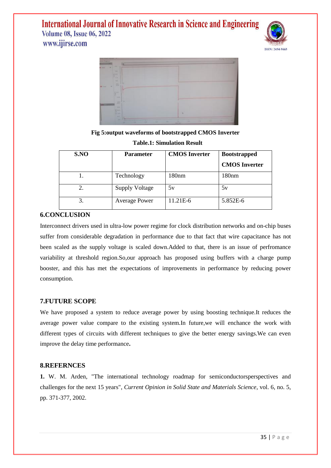www.ijirse.com





**Fig 5:output waveforms of bootstrapped CMOS Inverter**

| S.NO | <b>Parameter</b>      | <b>CMOS</b> Inverter | <b>Bootstrapped</b>  |
|------|-----------------------|----------------------|----------------------|
|      |                       |                      | <b>CMOS</b> Inverter |
|      | Technology            | 180 <sub>nm</sub>    | 180 <sub>nm</sub>    |
| 2.   | <b>Supply Voltage</b> | 5v                   | 5v                   |
| 3.   | <b>Average Power</b>  | 11.21E-6             | 5.852E-6             |

#### **Table.1: Simulation Result**

### **6.CONCLUSION**

Interconnect drivers used in ultra-low power regime for clock distribution networks and on-chip buses suffer from considerable degradation in performance due to that fact that wire capacitance has not been scaled as the supply voltage is scaled down.Added to that, there is an issue of perfromance variability at threshold region.So,our approach has proposed using buffers with a charge pump booster, and this has met the expectations of improvements in performance by reducing power consumption.

#### **7.FUTURE SCOPE**

We have proposed a system to reduce average power by using boosting technique.It reduces the average power value compare to the existing system.In future,we will enchance the work with different types of circuits with different techniques to give the better energy savings.We can even improve the delay time performance**.**

#### **8.REFERNCES**

**1.** W. M. Arden, "The international technology roadmap for semiconductorsperspectives and challenges for the next 15 years", *Current Opinion in Solid State and Materials Science*, vol. 6, no. 5, pp. 371-377, 2002.